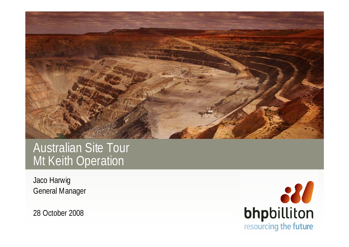

# Australian Site Tour Mt Keith Operation

Jaco Harwig General Manager

28 October 2008

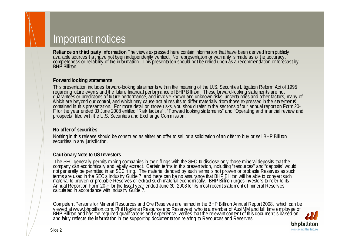### Important notices

Reliance on third party information The views expressed here contain information that have been derived from publicly<br>available sources that have not been independently verified. No representation or warranty is made as to

#### **Forward looking statements**

This presentation includes forward-looking statements within the meaning of the U.S. Securities Litigation Reform Act of 1995<br>regarding future events and the future financial performance of BHP Billiton. These forward-look

#### **No offer of securities**

Nothing in this release should be construed as either an offer to sell or a solicitation of an offer to buy or sell BHP Billiton securities in any jurisdiction.

#### **Cautionary Note to US Investors**

The SEC generally permits mining companies in their filings with the SEC to disclose only those mineral deposits that the company can economically and legally extract. Certain terms in this presentation, including "resourc

Competent Persons for Mineral Resources and Ore Reserves are named in the BHP Billiton Annual Report 2008, which can be viewed at www.bhpbilliton.com. Phil Hopkins (Resource and Reserves), who is a member of AuslMM and ful **bhp**billiton

resourcing the future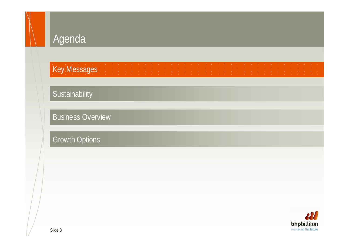#### Key Messages

#### **Sustainability**

Business Overview

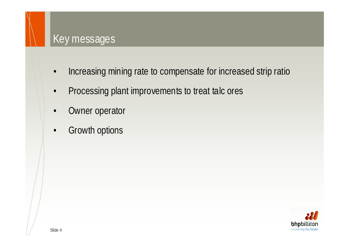#### Key messages

- •Increasing mining rate to compensate for increased strip ratio
- •Processing plant improvements to treat talc ores
- •Owner operator
- •Growth options

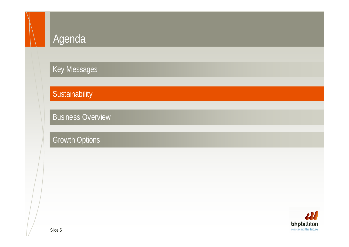Key Messages

**Sustainability** 

Business Overview

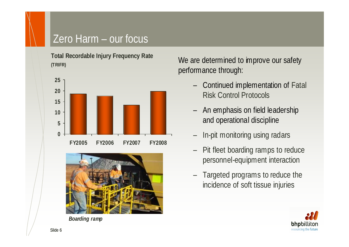## Zero Harm – our focus

**Total Recordable Injury Frequency Rate (TRIFR)**





*Boarding ramp*

We are determined to improve our safety performance through:

- – Continued implementation of Fatal Risk Control Protocols
- – An emphasis on field leadership and operational discipline
- –In-pit monitoring using radars
- – Pit fleet boarding ramps to reduce personnel-equipment interaction
- – Targeted programs to reduce the incidence of soft tissue injuries

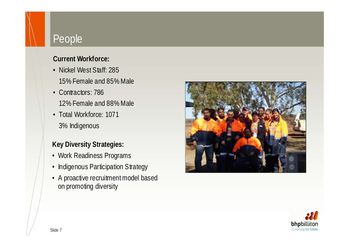### People

#### **Current Workforce:**

- Nickel West Staff: 28515% Female and 85% Male
- Contractors: 786 12% Female and 88% Male
- Total Workforce: 10713% Indigenous

#### **Key Diversity Strategies:**

- Work Readiness Programs
- Indigenous Participation Strategy
- A proactive recruitment model based on promoting diversity



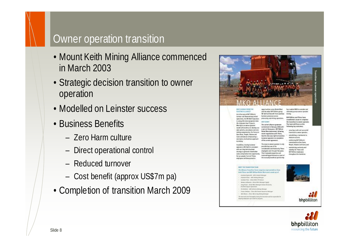#### Slide 8

# Owner operation transition

- Mount Keith Mining Alliance commenced in March 2003
- Strategic decision transition to owner operation
- Modelled on Leinster success
- Business Benefits
	- Zero Harm culture
	- –Direct operational control
	- Reduced turnover
	- –Cost benefit (approx US\$7m pa)
- Completion of transition March 2009



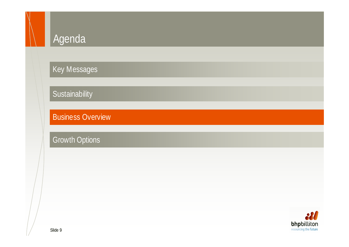Key Messages

**Sustainability** 

Business Overview

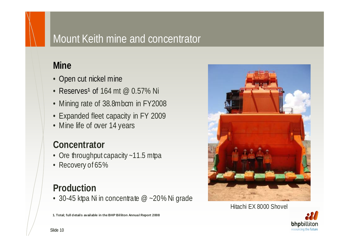## Mount Keith mine and concentrator

#### **Mine**

- Open cut nickel mine
- Reserves<sup>1</sup> of 164 mt @ 0.57% Ni
- Mining rate of 38.8mbcm in FY2008
- Expanded fleet capacity in FY 2009
- Mine life of over 14 years

## **Concentrator**

- Ore throughput capacity ~11.5 mtpa
- Recovery of 65%

#### **Production**

• 30-45 ktpa Ni in concentrate  $@$  ~20% Ni grade

**1. Total; full d etails available in the BHP Billiton Annual Report 2008** 



#### Hitachi EX 8000 Shovel

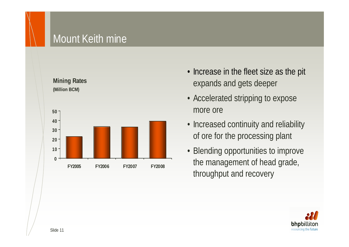## Mount Keith mine



- Increase in the fleet size as the pit expands and gets deeper
- Accelerated stripping to expose more ore
- Increased continuity and reliability of ore for the processing plant
- Blending opportunities to improve the management of head grade, throughput and recovery

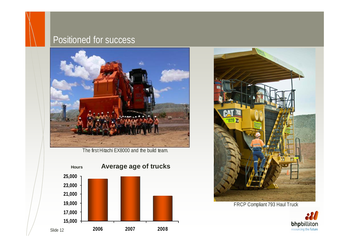#### Positioned for success



The first Hitachi EX8000 and the build team.





FRCP Compliant 793 Haul Truck

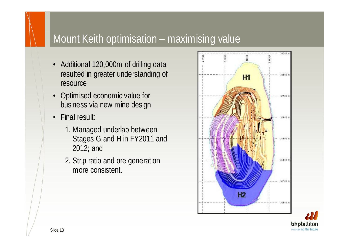## Mount Keith optimisation – maximising value

- Additional 120,000m of drilling data resulted in greater understanding of resource
- Optimised economic value for business via new mine design
- Final result:
	- 1. Managed underlap between Stages G and H in FY2011 and 2012; and
	- 2. Strip ratio and ore generation more consistent.



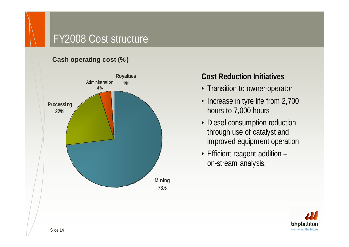## FY2008 Cost structure

#### **Cash operating cost (%)**



#### **Cost Reduction Initiatives**

- Transition to owner-operator
- Increase in tyre life from 2,700 hours to 7,000 hours
- Diesel consumption reduction through use of catalyst and improved equipment operation
- Efficient reagent addition on-stream analysis.

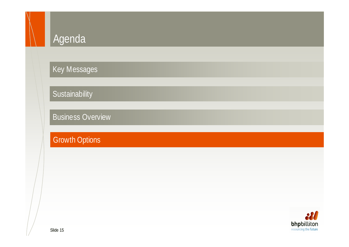Key Messages

**Sustainability** 

Business Overview

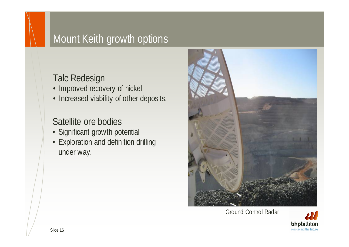# Mount Keith growth options

#### Talc Redesign

- Improved recovery of nickel
- Increased viability of other deposits.

#### Satellite ore bodies

- Significant growth potential
- Exploration and definition drilling under way.



Ground Control Radar

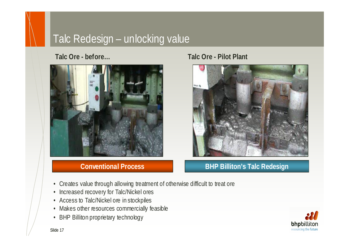## Talc Redesign – unlocking value

**Talc Ore - before…**



#### **Conventional Process**

#### **Talc Ore - Pilot Plant**



#### **BHP Billiton's Talc Redesign**

- Creates value through allowing treatment of otherwise difficult to treat ore
- Increased recovery for Talc/Nickel ores
- Access to Talc/Nickel ore in stockpiles
- Makes other resources commercially feasible
- •BHP Billiton proprietary technology

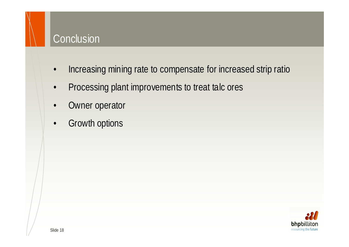## **Conclusion**

- •Increasing mining rate to compensate for increased strip ratio
- •Processing plant improvements to treat talc ores
- •Owner operator
- •Growth options